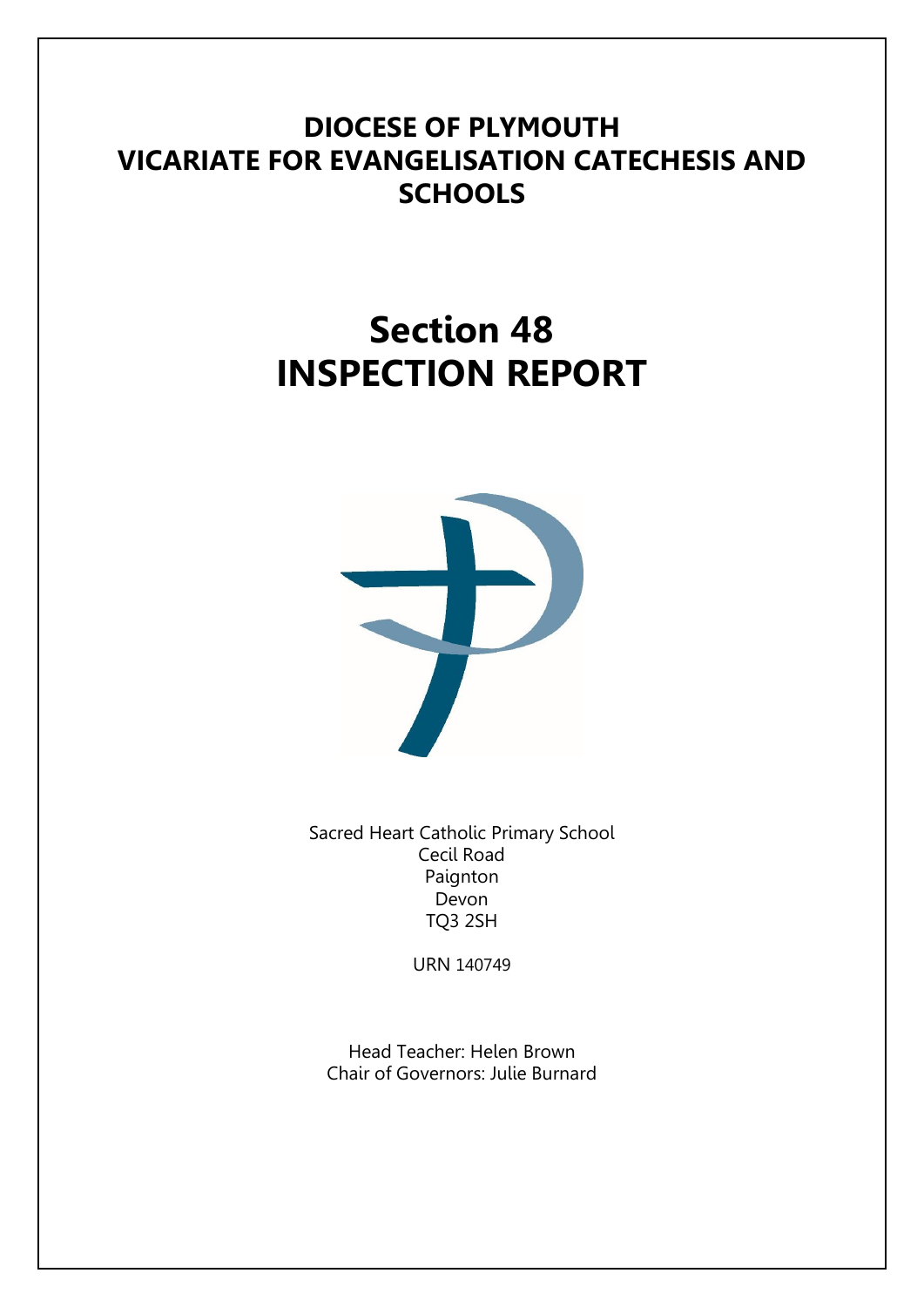# **DIOCESE OF PLYMOUTH VICARIATE FOR EVANGELISATION CATECHESIS AND SCHOOLS**

# **Section 48 INSPECTION REPORT**



Sacred Heart Catholic Primary School Cecil Road Paignton Devon TQ3 2SH

URN 140749

Head Teacher: Helen Brown Chair of Governors: Julie Burnard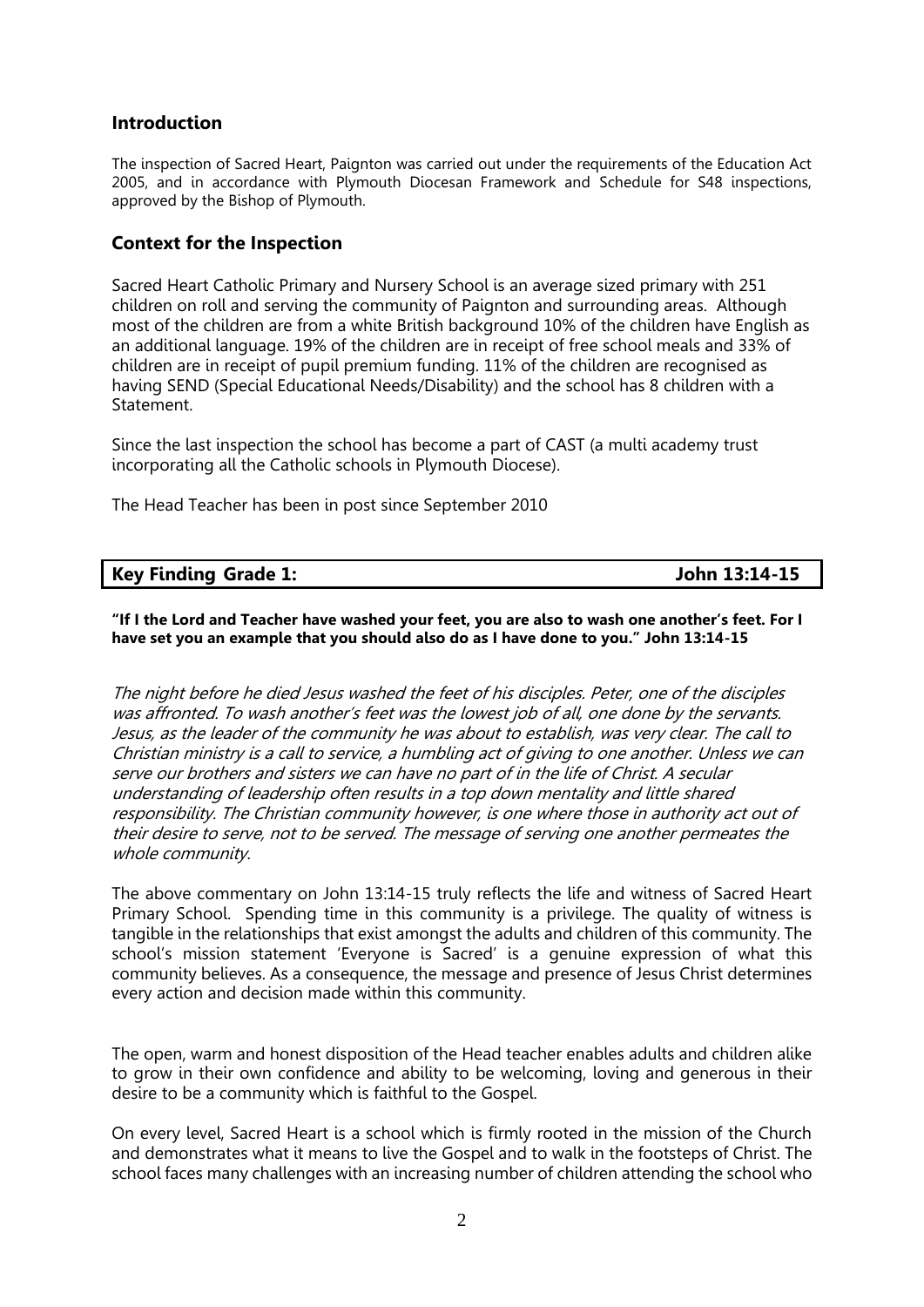# **Introduction**

The inspection of Sacred Heart, Paignton was carried out under the requirements of the Education Act 2005, and in accordance with Plymouth Diocesan Framework and Schedule for S48 inspections, approved by the Bishop of Plymouth.

# **Context for the Inspection**

Sacred Heart Catholic Primary and Nursery School is an average sized primary with 251 children on roll and serving the community of Paignton and surrounding areas. Although most of the children are from a white British background 10% of the children have English as an additional language. 19% of the children are in receipt of free school meals and 33% of children are in receipt of pupil premium funding. 11% of the children are recognised as having SEND (Special Educational Needs/Disability) and the school has 8 children with a **Statement** 

Since the last inspection the school has become a part of CAST (a multi academy trust incorporating all the Catholic schools in Plymouth Diocese).

The Head Teacher has been in post since September 2010

|  |  | <b>Key Finding Grade 1:</b> |  |
|--|--|-----------------------------|--|
|--|--|-----------------------------|--|

**Key Finding Grade 1: John 13:14-15**

**"If I the Lord and Teacher have washed your feet, you are also to wash one another's feet. For I have set you an example that you should also do as I have done to you." John 13:14-15**

The night before he died Jesus washed the feet of his disciples. Peter, one of the disciples was affronted. To wash another's feet was the lowest job of all, one done by the servants. Jesus, as the leader of the community he was about to establish, was very clear. The call to Christian ministry is a call to service, a humbling act of giving to one another. Unless we can serve our brothers and sisters we can have no part of in the life of Christ. A secular understanding of leadership often results in a top down mentality and little shared responsibility. The Christian community however, is one where those in authority act out of their desire to serve, not to be served. The message of serving one another permeates the whole community.

The above commentary on John 13:14-15 truly reflects the life and witness of Sacred Heart Primary School. Spending time in this community is a privilege. The quality of witness is tangible in the relationships that exist amongst the adults and children of this community. The school's mission statement 'Everyone is Sacred' is a genuine expression of what this community believes. As a consequence, the message and presence of Jesus Christ determines every action and decision made within this community.

The open, warm and honest disposition of the Head teacher enables adults and children alike to grow in their own confidence and ability to be welcoming, loving and generous in their desire to be a community which is faithful to the Gospel.

On every level, Sacred Heart is a school which is firmly rooted in the mission of the Church and demonstrates what it means to live the Gospel and to walk in the footsteps of Christ. The school faces many challenges with an increasing number of children attending the school who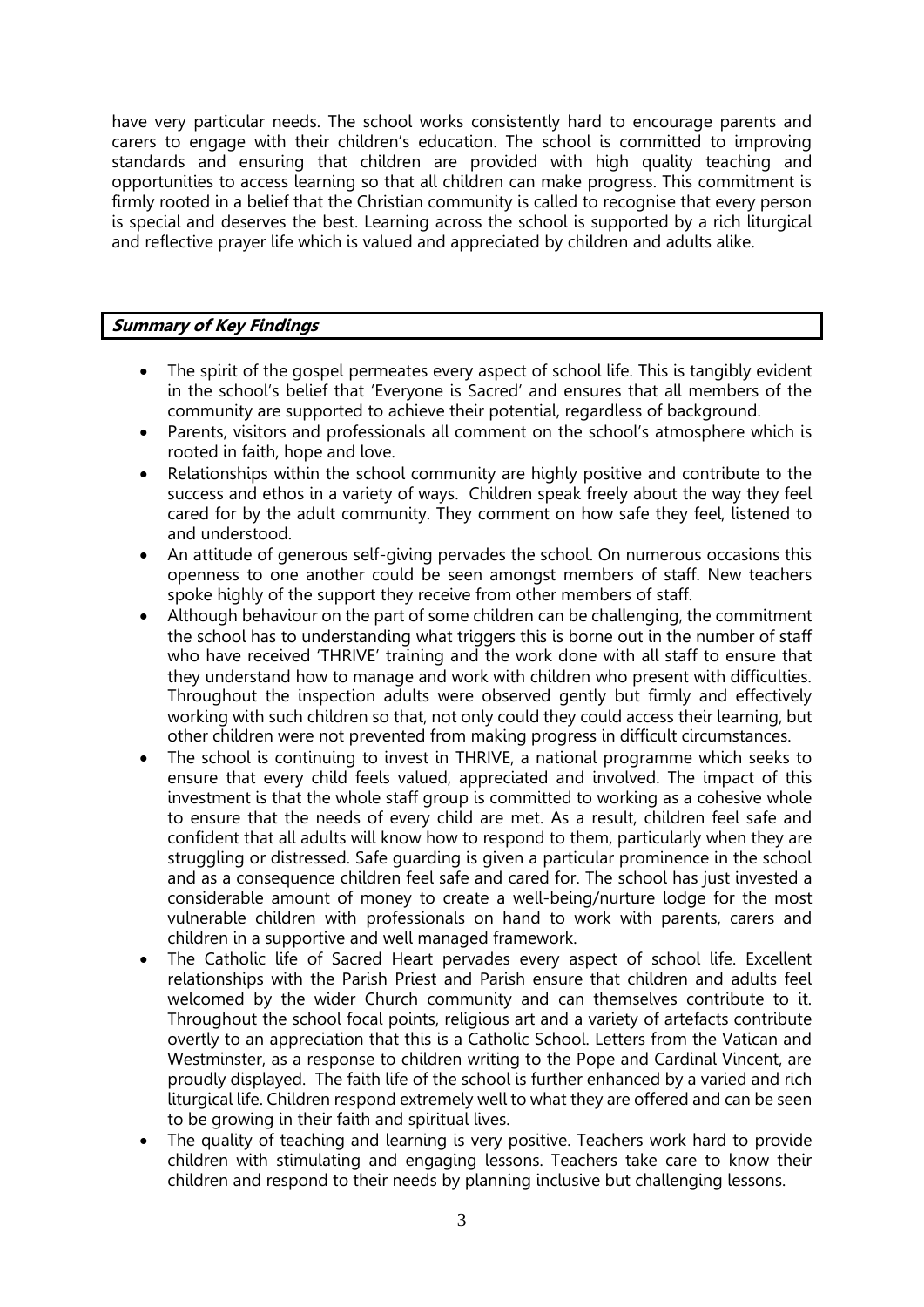have very particular needs. The school works consistently hard to encourage parents and carers to engage with their children's education. The school is committed to improving standards and ensuring that children are provided with high quality teaching and opportunities to access learning so that all children can make progress. This commitment is firmly rooted in a belief that the Christian community is called to recognise that every person is special and deserves the best. Learning across the school is supported by a rich liturgical and reflective prayer life which is valued and appreciated by children and adults alike.

# **Summary of Key Findings**

- The spirit of the gospel permeates every aspect of school life. This is tangibly evident in the school's belief that 'Everyone is Sacred' and ensures that all members of the community are supported to achieve their potential, regardless of background.
- Parents, visitors and professionals all comment on the school's atmosphere which is rooted in faith, hope and love.
- Relationships within the school community are highly positive and contribute to the success and ethos in a variety of ways. Children speak freely about the way they feel cared for by the adult community. They comment on how safe they feel, listened to and understood.
- An attitude of generous self-giving pervades the school. On numerous occasions this openness to one another could be seen amongst members of staff. New teachers spoke highly of the support they receive from other members of staff.
- Although behaviour on the part of some children can be challenging, the commitment the school has to understanding what triggers this is borne out in the number of staff who have received 'THRIVE' training and the work done with all staff to ensure that they understand how to manage and work with children who present with difficulties. Throughout the inspection adults were observed gently but firmly and effectively working with such children so that, not only could they could access their learning, but other children were not prevented from making progress in difficult circumstances.
- The school is continuing to invest in THRIVE, a national programme which seeks to ensure that every child feels valued, appreciated and involved. The impact of this investment is that the whole staff group is committed to working as a cohesive whole to ensure that the needs of every child are met. As a result, children feel safe and confident that all adults will know how to respond to them, particularly when they are struggling or distressed. Safe guarding is given a particular prominence in the school and as a consequence children feel safe and cared for. The school has just invested a considerable amount of money to create a well-being/nurture lodge for the most vulnerable children with professionals on hand to work with parents, carers and children in a supportive and well managed framework.
- The Catholic life of Sacred Heart pervades every aspect of school life. Excellent relationships with the Parish Priest and Parish ensure that children and adults feel welcomed by the wider Church community and can themselves contribute to it. Throughout the school focal points, religious art and a variety of artefacts contribute overtly to an appreciation that this is a Catholic School. Letters from the Vatican and Westminster, as a response to children writing to the Pope and Cardinal Vincent, are proudly displayed. The faith life of the school is further enhanced by a varied and rich liturgical life. Children respond extremely well to what they are offered and can be seen to be growing in their faith and spiritual lives.
- The quality of teaching and learning is very positive. Teachers work hard to provide children with stimulating and engaging lessons. Teachers take care to know their children and respond to their needs by planning inclusive but challenging lessons.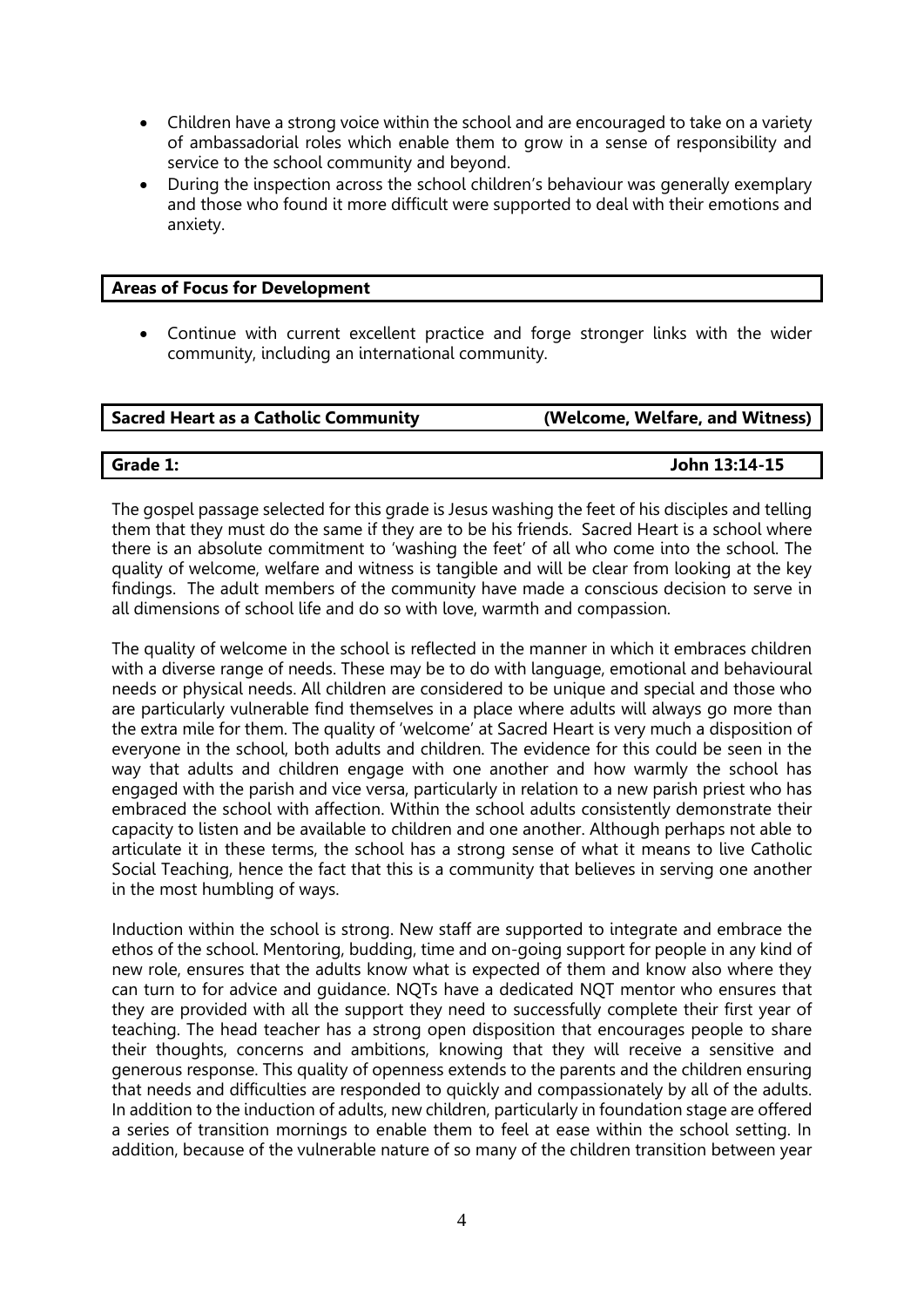- Children have a strong voice within the school and are encouraged to take on a variety of ambassadorial roles which enable them to grow in a sense of responsibility and service to the school community and beyond.
- During the inspection across the school children's behaviour was generally exemplary and those who found it more difficult were supported to deal with their emotions and anxiety.

# **Areas of Focus for Development**

 Continue with current excellent practice and forge stronger links with the wider community, including an international community.

| Sacred Heart as a Catholic Community | (Welcome, Welfare, and Witness) |
|--------------------------------------|---------------------------------|
|                                      |                                 |

**Grade 1: John 13:14-15**

The gospel passage selected for this grade is Jesus washing the feet of his disciples and telling them that they must do the same if they are to be his friends. Sacred Heart is a school where there is an absolute commitment to 'washing the feet' of all who come into the school. The quality of welcome, welfare and witness is tangible and will be clear from looking at the key findings. The adult members of the community have made a conscious decision to serve in all dimensions of school life and do so with love, warmth and compassion.

The quality of welcome in the school is reflected in the manner in which it embraces children with a diverse range of needs. These may be to do with language, emotional and behavioural needs or physical needs. All children are considered to be unique and special and those who are particularly vulnerable find themselves in a place where adults will always go more than the extra mile for them. The quality of 'welcome' at Sacred Heart is very much a disposition of everyone in the school, both adults and children. The evidence for this could be seen in the way that adults and children engage with one another and how warmly the school has engaged with the parish and vice versa, particularly in relation to a new parish priest who has embraced the school with affection. Within the school adults consistently demonstrate their capacity to listen and be available to children and one another. Although perhaps not able to articulate it in these terms, the school has a strong sense of what it means to live Catholic Social Teaching, hence the fact that this is a community that believes in serving one another in the most humbling of ways.

Induction within the school is strong. New staff are supported to integrate and embrace the ethos of the school. Mentoring, budding, time and on-going support for people in any kind of new role, ensures that the adults know what is expected of them and know also where they can turn to for advice and guidance. NQTs have a dedicated NQT mentor who ensures that they are provided with all the support they need to successfully complete their first year of teaching. The head teacher has a strong open disposition that encourages people to share their thoughts, concerns and ambitions, knowing that they will receive a sensitive and generous response. This quality of openness extends to the parents and the children ensuring that needs and difficulties are responded to quickly and compassionately by all of the adults. In addition to the induction of adults, new children, particularly in foundation stage are offered a series of transition mornings to enable them to feel at ease within the school setting. In addition, because of the vulnerable nature of so many of the children transition between year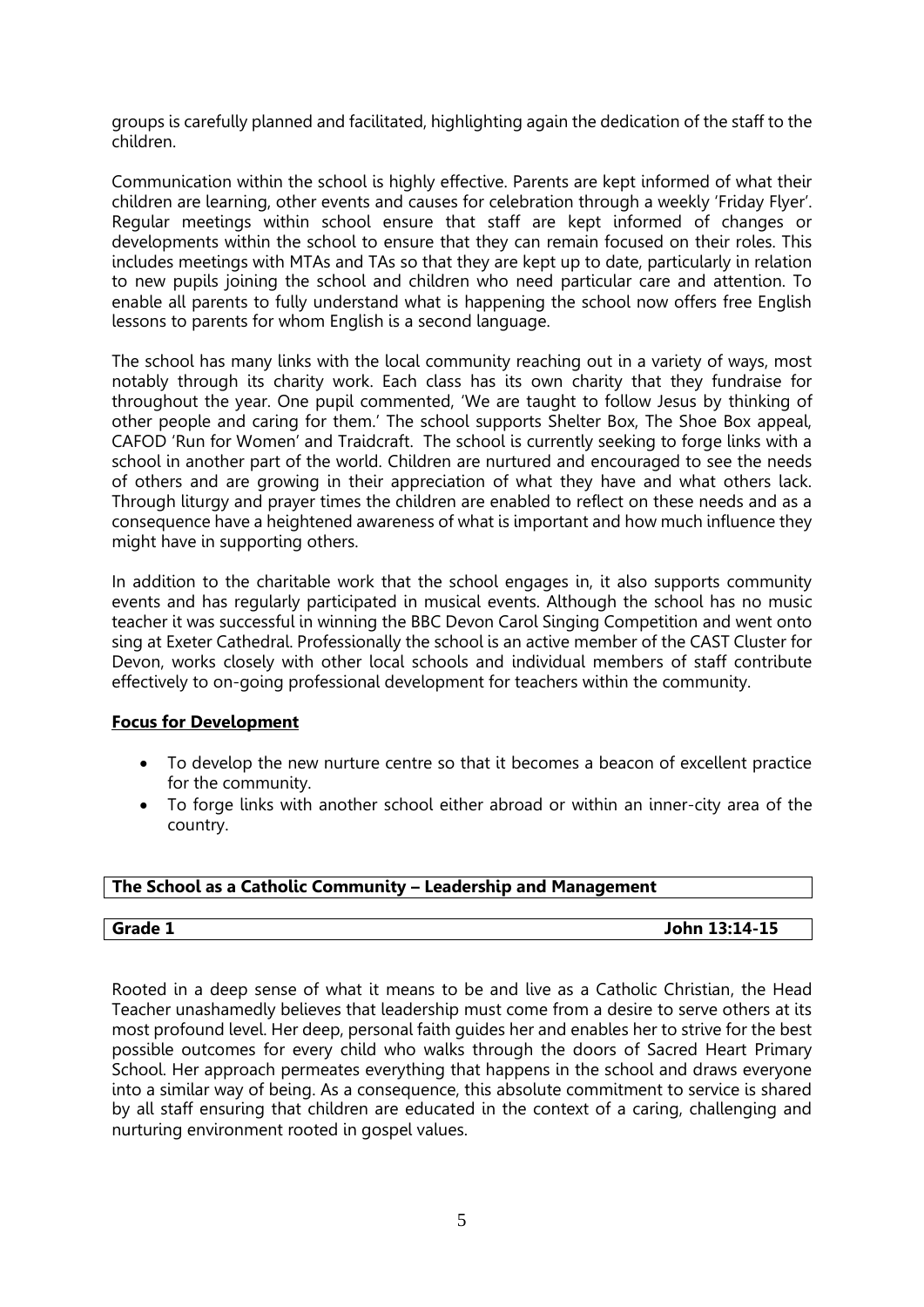groups is carefully planned and facilitated, highlighting again the dedication of the staff to the children.

Communication within the school is highly effective. Parents are kept informed of what their children are learning, other events and causes for celebration through a weekly 'Friday Flyer'. Regular meetings within school ensure that staff are kept informed of changes or developments within the school to ensure that they can remain focused on their roles. This includes meetings with MTAs and TAs so that they are kept up to date, particularly in relation to new pupils joining the school and children who need particular care and attention. To enable all parents to fully understand what is happening the school now offers free English lessons to parents for whom English is a second language.

The school has many links with the local community reaching out in a variety of ways, most notably through its charity work. Each class has its own charity that they fundraise for throughout the year. One pupil commented, 'We are taught to follow Jesus by thinking of other people and caring for them.' The school supports Shelter Box, The Shoe Box appeal, CAFOD 'Run for Women' and Traidcraft. The school is currently seeking to forge links with a school in another part of the world. Children are nurtured and encouraged to see the needs of others and are growing in their appreciation of what they have and what others lack. Through liturgy and prayer times the children are enabled to reflect on these needs and as a consequence have a heightened awareness of what is important and how much influence they might have in supporting others.

In addition to the charitable work that the school engages in, it also supports community events and has regularly participated in musical events. Although the school has no music teacher it was successful in winning the BBC Devon Carol Singing Competition and went onto sing at Exeter Cathedral. Professionally the school is an active member of the CAST Cluster for Devon, works closely with other local schools and individual members of staff contribute effectively to on-going professional development for teachers within the community.

# **Focus for Development**

- To develop the new nurture centre so that it becomes a beacon of excellent practice for the community.
- To forge links with another school either abroad or within an inner-city area of the country.

# **The School as a Catholic Community – Leadership and Management**

**Grade 1 John 13:14-15**

Rooted in a deep sense of what it means to be and live as a Catholic Christian, the Head Teacher unashamedly believes that leadership must come from a desire to serve others at its most profound level. Her deep, personal faith guides her and enables her to strive for the best possible outcomes for every child who walks through the doors of Sacred Heart Primary School. Her approach permeates everything that happens in the school and draws everyone into a similar way of being. As a consequence, this absolute commitment to service is shared by all staff ensuring that children are educated in the context of a caring, challenging and nurturing environment rooted in gospel values.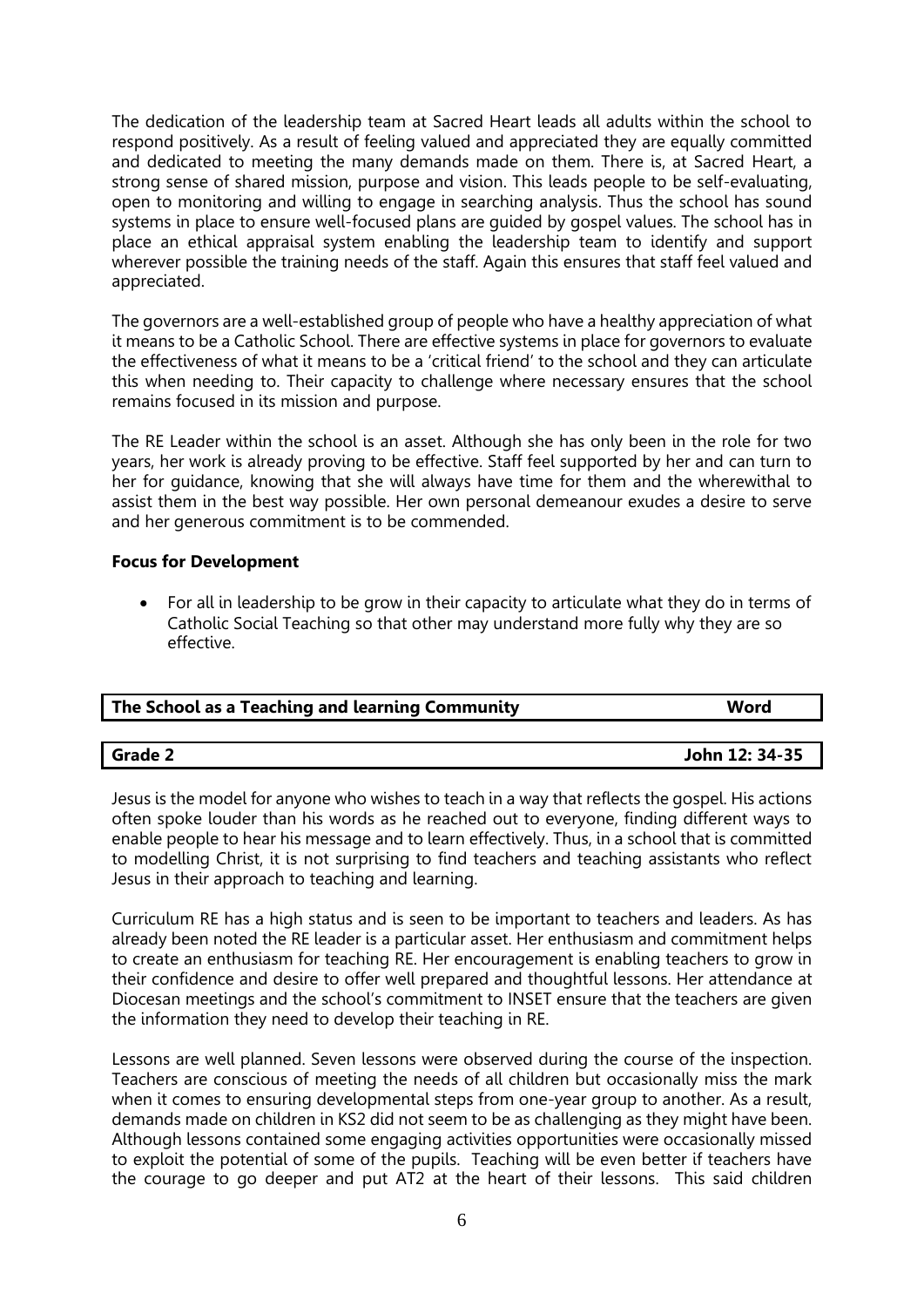The dedication of the leadership team at Sacred Heart leads all adults within the school to respond positively. As a result of feeling valued and appreciated they are equally committed and dedicated to meeting the many demands made on them. There is, at Sacred Heart, a strong sense of shared mission, purpose and vision. This leads people to be self-evaluating, open to monitoring and willing to engage in searching analysis. Thus the school has sound systems in place to ensure well-focused plans are quided by gospel values. The school has in place an ethical appraisal system enabling the leadership team to identify and support wherever possible the training needs of the staff. Again this ensures that staff feel valued and appreciated.

The governors are a well-established group of people who have a healthy appreciation of what it means to be a Catholic School. There are effective systems in place for governors to evaluate the effectiveness of what it means to be a 'critical friend' to the school and they can articulate this when needing to. Their capacity to challenge where necessary ensures that the school remains focused in its mission and purpose.

The RE Leader within the school is an asset. Although she has only been in the role for two years, her work is already proving to be effective. Staff feel supported by her and can turn to her for guidance, knowing that she will always have time for them and the wherewithal to assist them in the best way possible. Her own personal demeanour exudes a desire to serve and her generous commitment is to be commended.

# **Focus for Development**

 For all in leadership to be grow in their capacity to articulate what they do in terms of Catholic Social Teaching so that other may understand more fully why they are so effective.

| The School as a Teaching and learning Community | Word           |  |
|-------------------------------------------------|----------------|--|
|                                                 |                |  |
| Grade 2                                         | John 12: 34-35 |  |

Jesus is the model for anyone who wishes to teach in a way that reflects the gospel. His actions often spoke louder than his words as he reached out to everyone, finding different ways to enable people to hear his message and to learn effectively. Thus, in a school that is committed to modelling Christ, it is not surprising to find teachers and teaching assistants who reflect Jesus in their approach to teaching and learning.

Curriculum RE has a high status and is seen to be important to teachers and leaders. As has already been noted the RE leader is a particular asset. Her enthusiasm and commitment helps to create an enthusiasm for teaching RE. Her encouragement is enabling teachers to grow in their confidence and desire to offer well prepared and thoughtful lessons. Her attendance at Diocesan meetings and the school's commitment to INSET ensure that the teachers are given the information they need to develop their teaching in RE.

Lessons are well planned. Seven lessons were observed during the course of the inspection. Teachers are conscious of meeting the needs of all children but occasionally miss the mark when it comes to ensuring developmental steps from one-year group to another. As a result, demands made on children in KS2 did not seem to be as challenging as they might have been. Although lessons contained some engaging activities opportunities were occasionally missed to exploit the potential of some of the pupils. Teaching will be even better if teachers have the courage to go deeper and put AT2 at the heart of their lessons. This said children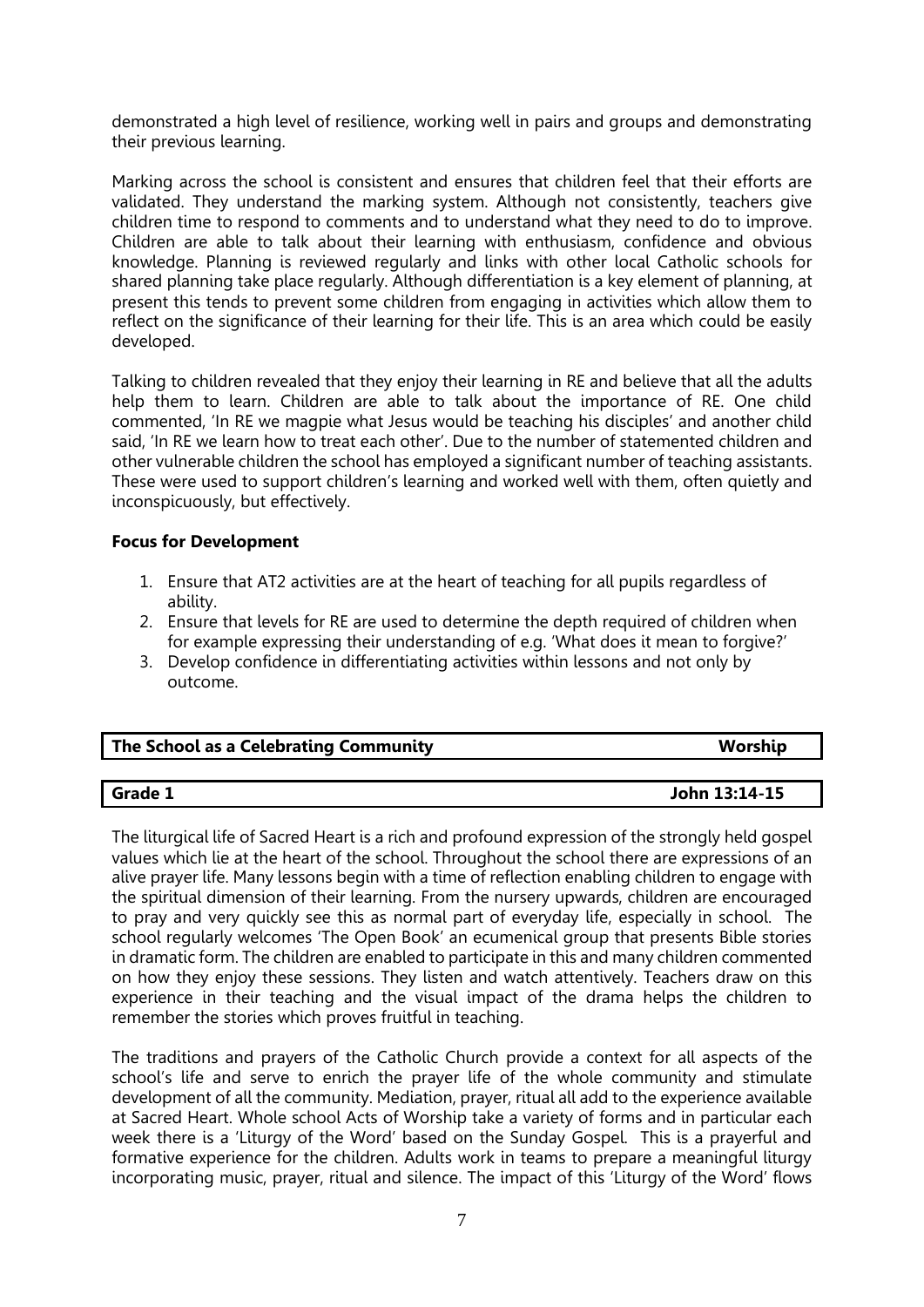demonstrated a high level of resilience, working well in pairs and groups and demonstrating their previous learning.

Marking across the school is consistent and ensures that children feel that their efforts are validated. They understand the marking system. Although not consistently, teachers give children time to respond to comments and to understand what they need to do to improve. Children are able to talk about their learning with enthusiasm, confidence and obvious knowledge. Planning is reviewed regularly and links with other local Catholic schools for shared planning take place regularly. Although differentiation is a key element of planning, at present this tends to prevent some children from engaging in activities which allow them to reflect on the significance of their learning for their life. This is an area which could be easily developed.

Talking to children revealed that they enjoy their learning in RE and believe that all the adults help them to learn. Children are able to talk about the importance of RE. One child commented, 'In RE we magpie what Jesus would be teaching his disciples' and another child said, 'In RE we learn how to treat each other'. Due to the number of statemented children and other vulnerable children the school has employed a significant number of teaching assistants. These were used to support children's learning and worked well with them, often quietly and inconspicuously, but effectively.

# **Focus for Development**

- 1. Ensure that AT2 activities are at the heart of teaching for all pupils regardless of ability.
- 2. Ensure that levels for RE are used to determine the depth required of children when for example expressing their understanding of e.g. 'What does it mean to forgive?'
- 3. Develop confidence in differentiating activities within lessons and not only by outcome.

| The School as a Celebrating Community | Worship |
|---------------------------------------|---------|
|                                       |         |

# **Grade 1 John 13:14-15**

The liturgical life of Sacred Heart is a rich and profound expression of the strongly held gospel values which lie at the heart of the school. Throughout the school there are expressions of an alive prayer life. Many lessons begin with a time of reflection enabling children to engage with the spiritual dimension of their learning. From the nursery upwards, children are encouraged to pray and very quickly see this as normal part of everyday life, especially in school. The school regularly welcomes 'The Open Book' an ecumenical group that presents Bible stories in dramatic form. The children are enabled to participate in this and many children commented on how they enjoy these sessions. They listen and watch attentively. Teachers draw on this experience in their teaching and the visual impact of the drama helps the children to remember the stories which proves fruitful in teaching.

The traditions and prayers of the Catholic Church provide a context for all aspects of the school's life and serve to enrich the prayer life of the whole community and stimulate development of all the community. Mediation, prayer, ritual all add to the experience available at Sacred Heart. Whole school Acts of Worship take a variety of forms and in particular each week there is a 'Liturgy of the Word' based on the Sunday Gospel. This is a prayerful and formative experience for the children. Adults work in teams to prepare a meaningful liturgy incorporating music, prayer, ritual and silence. The impact of this 'Liturgy of the Word' flows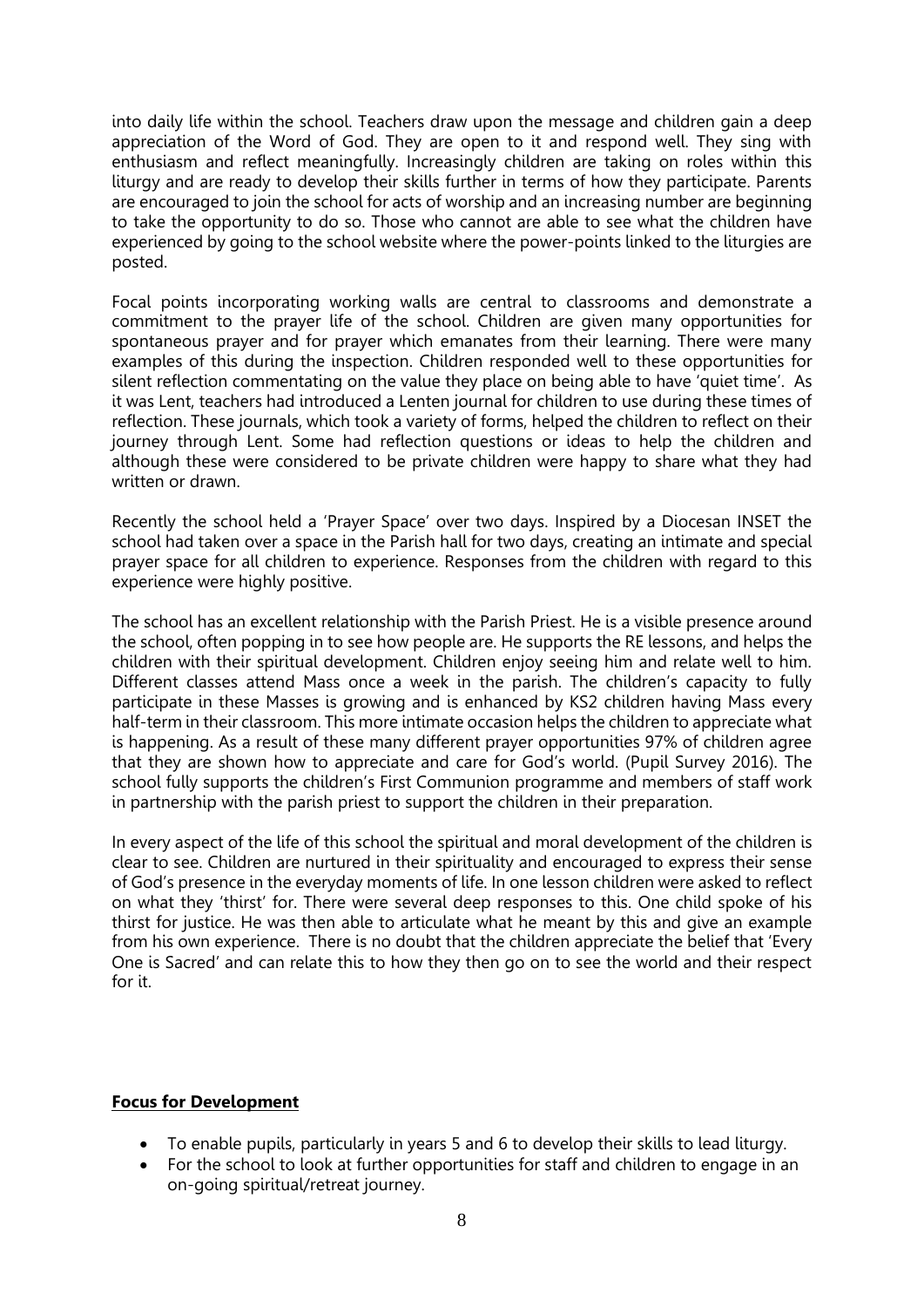into daily life within the school. Teachers draw upon the message and children gain a deep appreciation of the Word of God. They are open to it and respond well. They sing with enthusiasm and reflect meaningfully. Increasingly children are taking on roles within this liturgy and are ready to develop their skills further in terms of how they participate. Parents are encouraged to join the school for acts of worship and an increasing number are beginning to take the opportunity to do so. Those who cannot are able to see what the children have experienced by going to the school website where the power-points linked to the liturgies are posted.

Focal points incorporating working walls are central to classrooms and demonstrate a commitment to the prayer life of the school. Children are given many opportunities for spontaneous prayer and for prayer which emanates from their learning. There were many examples of this during the inspection. Children responded well to these opportunities for silent reflection commentating on the value they place on being able to have 'quiet time'. As it was Lent, teachers had introduced a Lenten journal for children to use during these times of reflection. These journals, which took a variety of forms, helped the children to reflect on their journey through Lent. Some had reflection questions or ideas to help the children and although these were considered to be private children were happy to share what they had written or drawn.

Recently the school held a 'Prayer Space' over two days. Inspired by a Diocesan INSET the school had taken over a space in the Parish hall for two days, creating an intimate and special prayer space for all children to experience. Responses from the children with regard to this experience were highly positive.

The school has an excellent relationship with the Parish Priest. He is a visible presence around the school, often popping in to see how people are. He supports the RE lessons, and helps the children with their spiritual development. Children enjoy seeing him and relate well to him. Different classes attend Mass once a week in the parish. The children's capacity to fully participate in these Masses is growing and is enhanced by KS2 children having Mass every half-term in their classroom. This more intimate occasion helps the children to appreciate what is happening. As a result of these many different prayer opportunities 97% of children agree that they are shown how to appreciate and care for God's world. (Pupil Survey 2016). The school fully supports the children's First Communion programme and members of staff work in partnership with the parish priest to support the children in their preparation.

In every aspect of the life of this school the spiritual and moral development of the children is clear to see. Children are nurtured in their spirituality and encouraged to express their sense of God's presence in the everyday moments of life. In one lesson children were asked to reflect on what they 'thirst' for. There were several deep responses to this. One child spoke of his thirst for justice. He was then able to articulate what he meant by this and give an example from his own experience. There is no doubt that the children appreciate the belief that 'Every One is Sacred' and can relate this to how they then go on to see the world and their respect for it.

# **Focus for Development**

- To enable pupils, particularly in years 5 and 6 to develop their skills to lead liturgy.
- For the school to look at further opportunities for staff and children to engage in an on-going spiritual/retreat journey.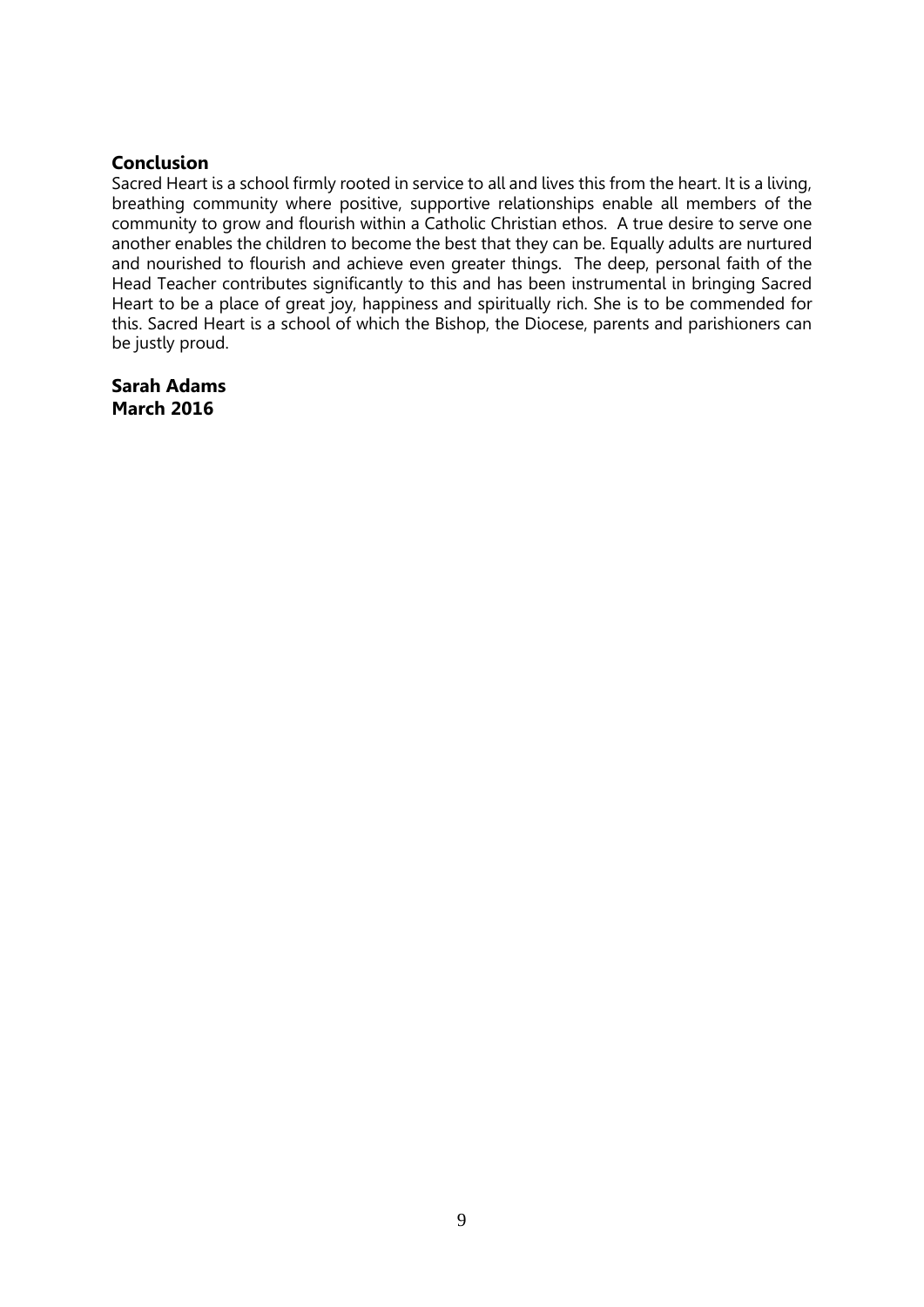# **Conclusion**

Sacred Heart is a school firmly rooted in service to all and lives this from the heart. It is a living, breathing community where positive, supportive relationships enable all members of the community to grow and flourish within a Catholic Christian ethos. A true desire to serve one another enables the children to become the best that they can be. Equally adults are nurtured and nourished to flourish and achieve even greater things. The deep, personal faith of the Head Teacher contributes significantly to this and has been instrumental in bringing Sacred Heart to be a place of great joy, happiness and spiritually rich. She is to be commended for this. Sacred Heart is a school of which the Bishop, the Diocese, parents and parishioners can be justly proud.

**Sarah Adams March 2016**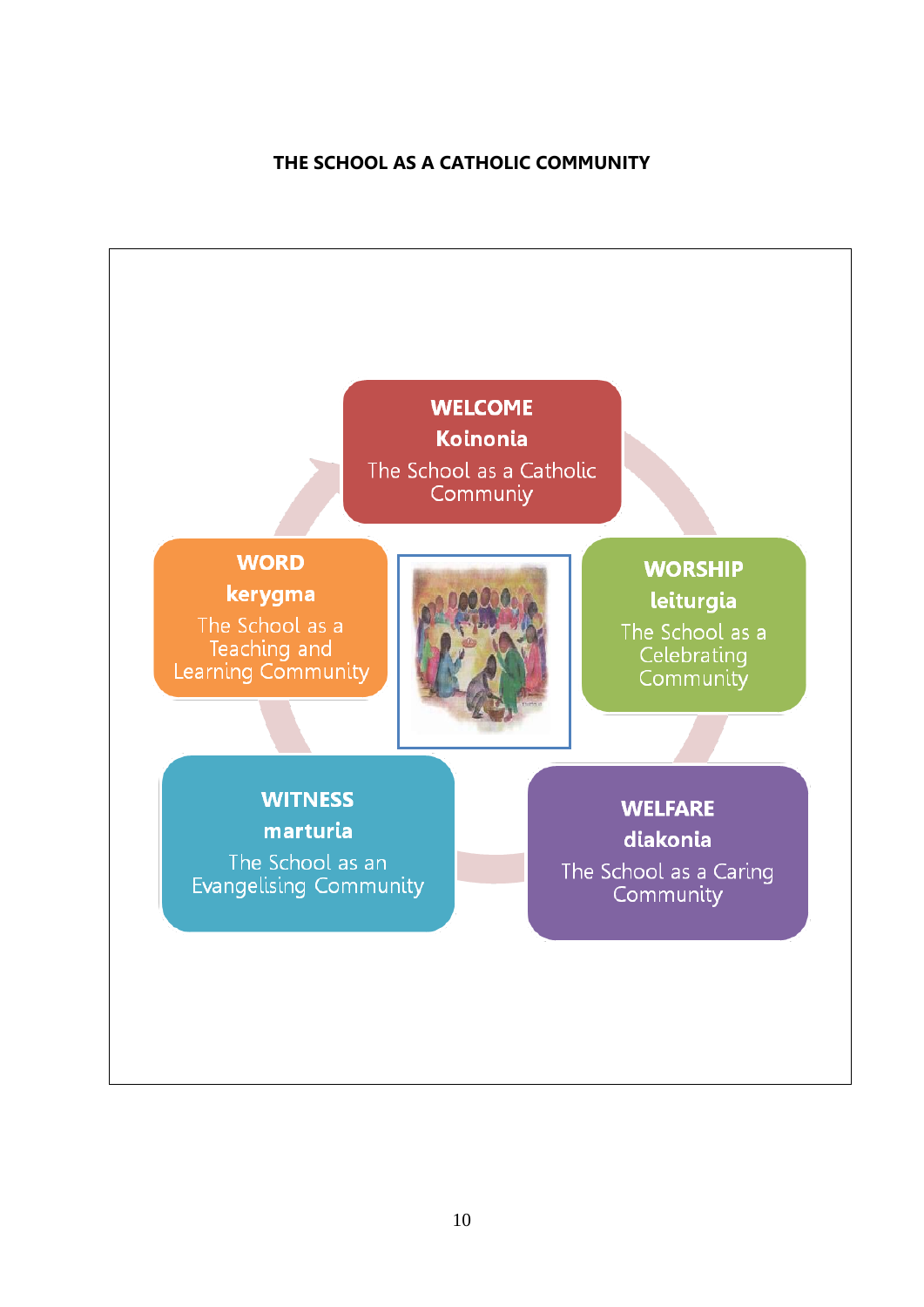# **THE SCHOOL AS A CATHOLIC COMMUNITY**

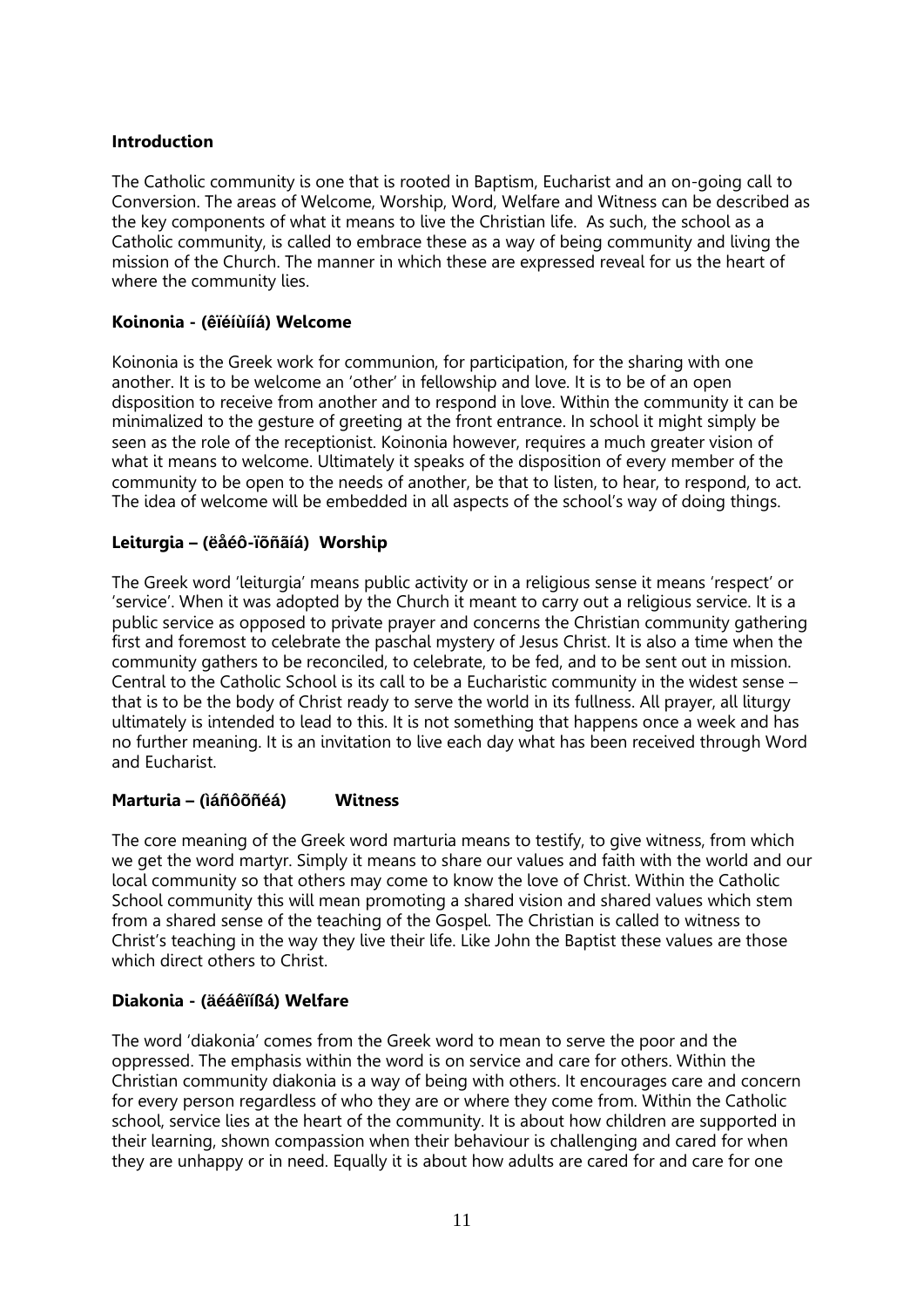# **Introduction**

The Catholic community is one that is rooted in Baptism, Eucharist and an on-going call to Conversion. The areas of Welcome, Worship, Word, Welfare and Witness can be described as the key components of what it means to live the Christian life. As such, the school as a Catholic community, is called to embrace these as a way of being community and living the mission of the Church. The manner in which these are expressed reveal for us the heart of where the community lies.

# **Koinonia - (êïéíùíίá) Welcome**

Koinonia is the Greek work for communion, for participation, for the sharing with one another. It is to be welcome an 'other' in fellowship and love. It is to be of an open disposition to receive from another and to respond in love. Within the community it can be minimalized to the gesture of greeting at the front entrance. In school it might simply be seen as the role of the receptionist. Koinonia however, requires a much greater vision of what it means to welcome. Ultimately it speaks of the disposition of every member of the community to be open to the needs of another, be that to listen, to hear, to respond, to act. The idea of welcome will be embedded in all aspects of the school's way of doing things.

# **Leiturgia – (ëåéô-ïõñãίá) Worship**

The Greek word 'leiturgia' means public activity or in a religious sense it means 'respect' or 'service'. When it was adopted by the Church it meant to carry out a religious service. It is a public service as opposed to private prayer and concerns the Christian community gathering first and foremost to celebrate the paschal mystery of Jesus Christ. It is also a time when the community gathers to be reconciled, to celebrate, to be fed, and to be sent out in mission. Central to the Catholic School is its call to be a Eucharistic community in the widest sense – that is to be the body of Christ ready to serve the world in its fullness. All prayer, all liturgy ultimately is intended to lead to this. It is not something that happens once a week and has no further meaning. It is an invitation to live each day what has been received through Word and Eucharist.

# **Marturia – (ìáñôõñéá) Witness**

The core meaning of the Greek word marturia means to testify, to give witness, from which we get the word martyr. Simply it means to share our values and faith with the world and our local community so that others may come to know the love of Christ. Within the Catholic School community this will mean promoting a shared vision and shared values which stem from a shared sense of the teaching of the Gospel. The Christian is called to witness to Christ's teaching in the way they live their life. Like John the Baptist these values are those which direct others to Christ.

# **Diakonia - (äéáêïíßá) Welfare**

The word 'diakonia' comes from the Greek word to mean to serve the poor and the oppressed. The emphasis within the word is on service and care for others. Within the Christian community diakonia is a way of being with others. It encourages care and concern for every person regardless of who they are or where they come from. Within the Catholic school, service lies at the heart of the community. It is about how children are supported in their learning, shown compassion when their behaviour is challenging and cared for when they are unhappy or in need. Equally it is about how adults are cared for and care for one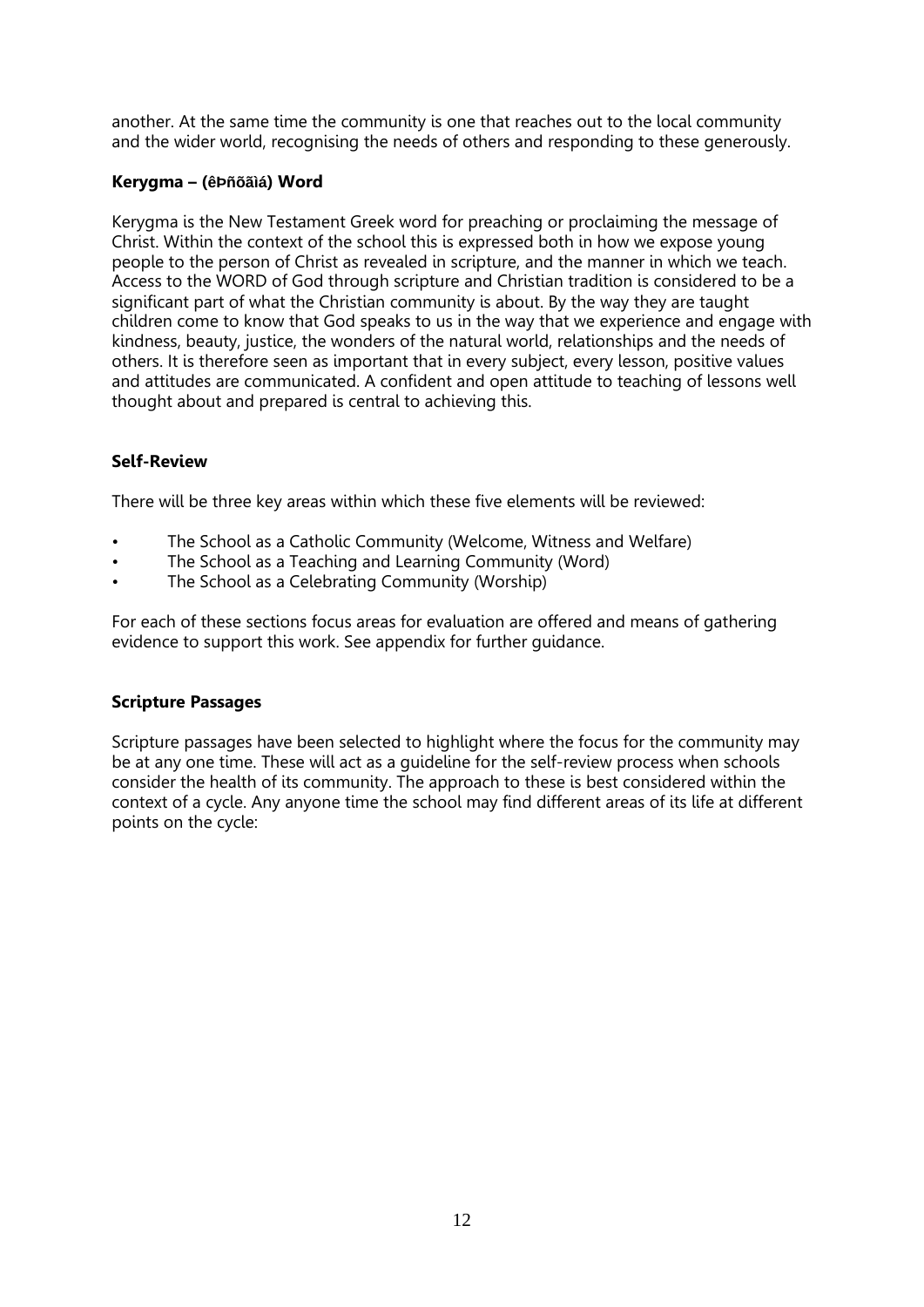another. At the same time the community is one that reaches out to the local community and the wider world, recognising the needs of others and responding to these generously.

# **Kerygma – (êÞñõãìá) Word**

Kerygma is the New Testament Greek word for preaching or proclaiming the message of Christ. Within the context of the school this is expressed both in how we expose young people to the person of Christ as revealed in scripture, and the manner in which we teach. Access to the WORD of God through scripture and Christian tradition is considered to be a significant part of what the Christian community is about. By the way they are taught children come to know that God speaks to us in the way that we experience and engage with kindness, beauty, justice, the wonders of the natural world, relationships and the needs of others. It is therefore seen as important that in every subject, every lesson, positive values and attitudes are communicated. A confident and open attitude to teaching of lessons well thought about and prepared is central to achieving this.

# **Self-Review**

There will be three key areas within which these five elements will be reviewed:

- The School as a Catholic Community (Welcome, Witness and Welfare)
- The School as a Teaching and Learning Community (Word)
- The School as a Celebrating Community (Worship)

For each of these sections focus areas for evaluation are offered and means of gathering evidence to support this work. See appendix for further guidance.

# **Scripture Passages**

Scripture passages have been selected to highlight where the focus for the community may be at any one time. These will act as a guideline for the self-review process when schools consider the health of its community. The approach to these is best considered within the context of a cycle. Any anyone time the school may find different areas of its life at different points on the cycle: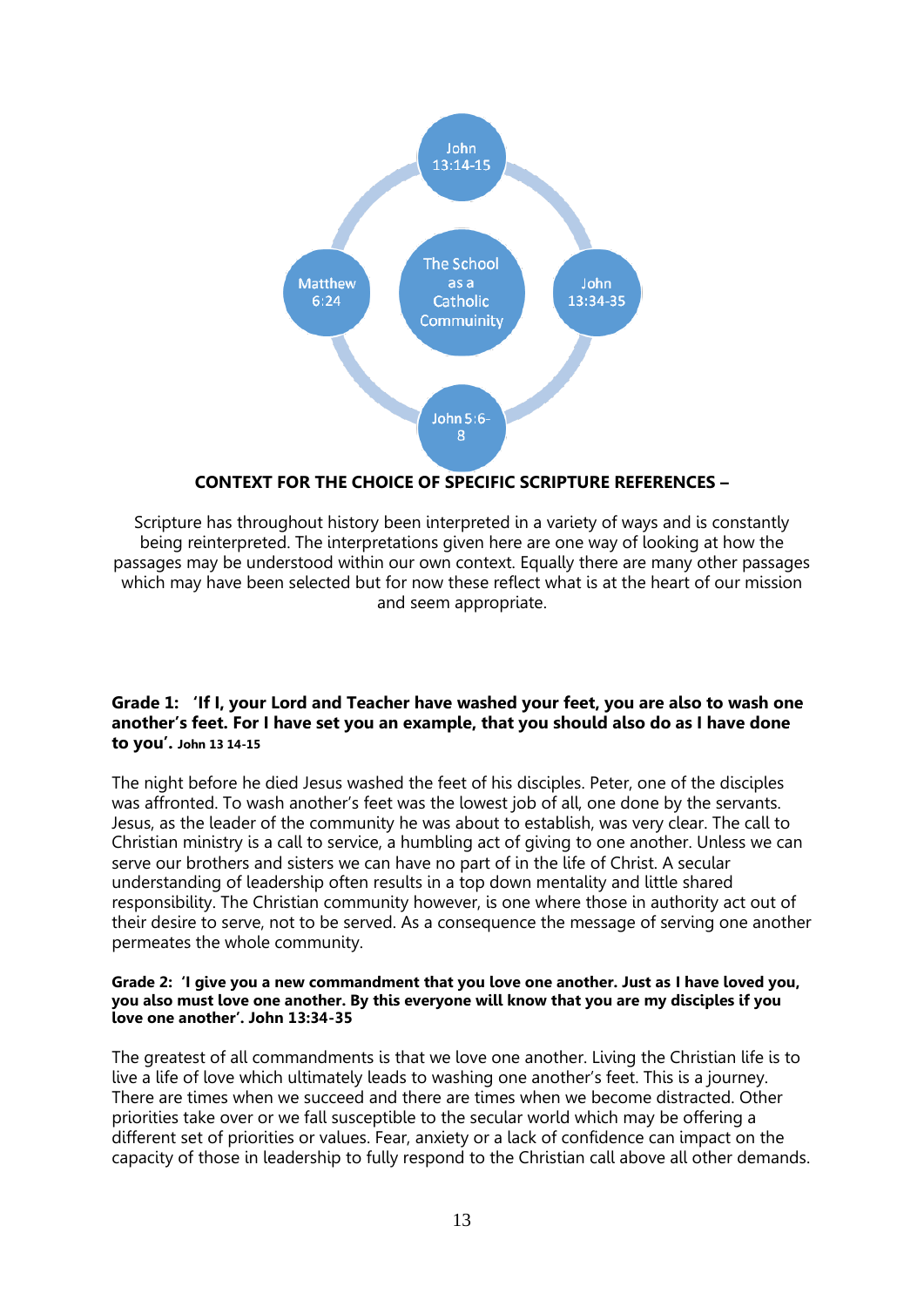

# **CONTEXT FOR THE CHOICE OF SPECIFIC SCRIPTURE REFERENCES –**

Scripture has throughout history been interpreted in a variety of ways and is constantly being reinterpreted. The interpretations given here are one way of looking at how the passages may be understood within our own context. Equally there are many other passages which may have been selected but for now these reflect what is at the heart of our mission and seem appropriate.

# **Grade 1: 'If I, your Lord and Teacher have washed your feet, you are also to wash one another's feet. For I have set you an example, that you should also do as I have done to you'. John 13 14-15**

The night before he died Jesus washed the feet of his disciples. Peter, one of the disciples was affronted. To wash another's feet was the lowest job of all, one done by the servants. Jesus, as the leader of the community he was about to establish, was very clear. The call to Christian ministry is a call to service, a humbling act of giving to one another. Unless we can serve our brothers and sisters we can have no part of in the life of Christ. A secular understanding of leadership often results in a top down mentality and little shared responsibility. The Christian community however, is one where those in authority act out of their desire to serve, not to be served. As a consequence the message of serving one another permeates the whole community.

# **Grade 2: 'I give you a new commandment that you love one another. Just as I have loved you, you also must love one another. By this everyone will know that you are my disciples if you love one another'. John 13:34-35**

The greatest of all commandments is that we love one another. Living the Christian life is to live a life of love which ultimately leads to washing one another's feet. This is a journey. There are times when we succeed and there are times when we become distracted. Other priorities take over or we fall susceptible to the secular world which may be offering a different set of priorities or values. Fear, anxiety or a lack of confidence can impact on the capacity of those in leadership to fully respond to the Christian call above all other demands.